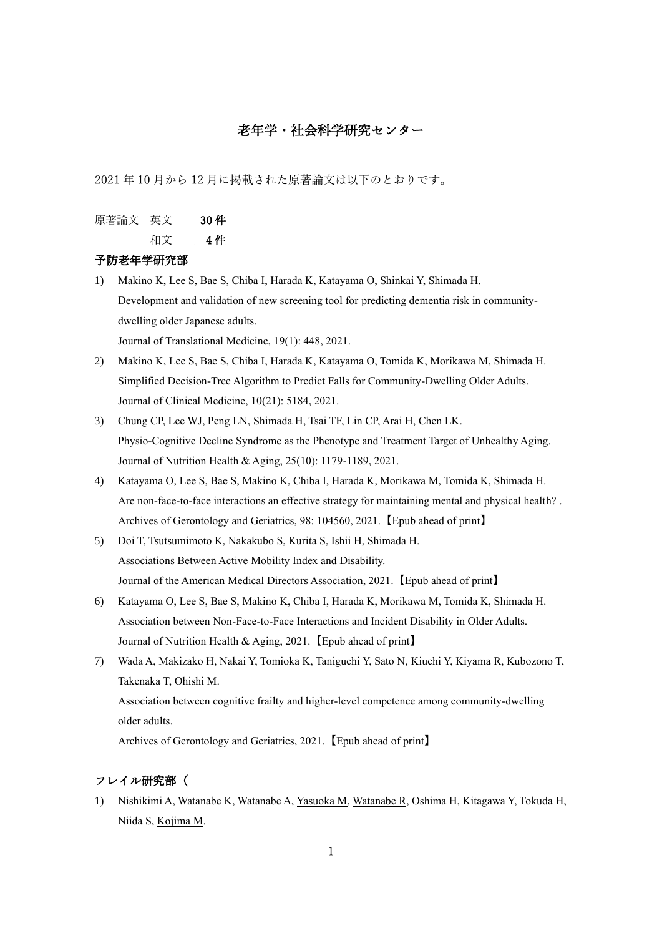# 老年学・社会科学研究センター

2021 年 10 月から 12 月に掲載された原著論文は以下のとおりです。

原著論文 英文 30 件

和文 4 件

#### 予防老年学研究部

- 1) Makino K, Lee S, Bae S, Chiba I, Harada K, Katayama O, Shinkai Y, Shimada H. Development and validation of new screening tool for predicting dementia risk in communitydwelling older Japanese adults. Journal of Translational Medicine, 19(1): 448, 2021.
- 2) Makino K, Lee S, Bae S, Chiba I, Harada K, Katayama O, Tomida K, Morikawa M, Shimada H. Simplified Decision-Tree Algorithm to Predict Falls for Community-Dwelling Older Adults. Journal of Clinical Medicine, 10(21): 5184, 2021.
- 3) Chung CP, Lee WJ, Peng LN, Shimada H, Tsai TF, Lin CP, Arai H, Chen LK. Physio-Cognitive Decline Syndrome as the Phenotype and Treatment Target of Unhealthy Aging. Journal of Nutrition Health & Aging, 25(10): 1179-1189, 2021.
- 4) Katayama O, Lee S, Bae S, Makino K, Chiba I, Harada K, Morikawa M, Tomida K, Shimada H. Are non-face-to-face interactions an effective strategy for maintaining mental and physical health? . Archives of Gerontology and Geriatrics, 98: 104560, 2021.【Epub ahead of print】
- 5) Doi T, Tsutsumimoto K, Nakakubo S, Kurita S, Ishii H, Shimada H. Associations Between Active Mobility Index and Disability. Journal of the American Medical Directors Association, 2021.【Epub ahead of print】
- 6) Katayama O, Lee S, Bae S, Makino K, Chiba I, Harada K, Morikawa M, Tomida K, Shimada H. Association between Non-Face-to-Face Interactions and Incident Disability in Older Adults. Journal of Nutrition Health & Aging, 2021.【Epub ahead of print】
- 7) Wada A, Makizako H, Nakai Y, Tomioka K, Taniguchi Y, Sato N, Kiuchi Y, Kiyama R, Kubozono T, Takenaka T, Ohishi M. Association between cognitive frailty and higher-level competence among community-dwelling older adults.

Archives of Gerontology and Geriatrics, 2021.【Epub ahead of print】

# フレイル研究部(

1) Nishikimi A, Watanabe K, Watanabe A, Yasuoka M, Watanabe R, Oshima H, Kitagawa Y, Tokuda H, Niida S, Kojima M.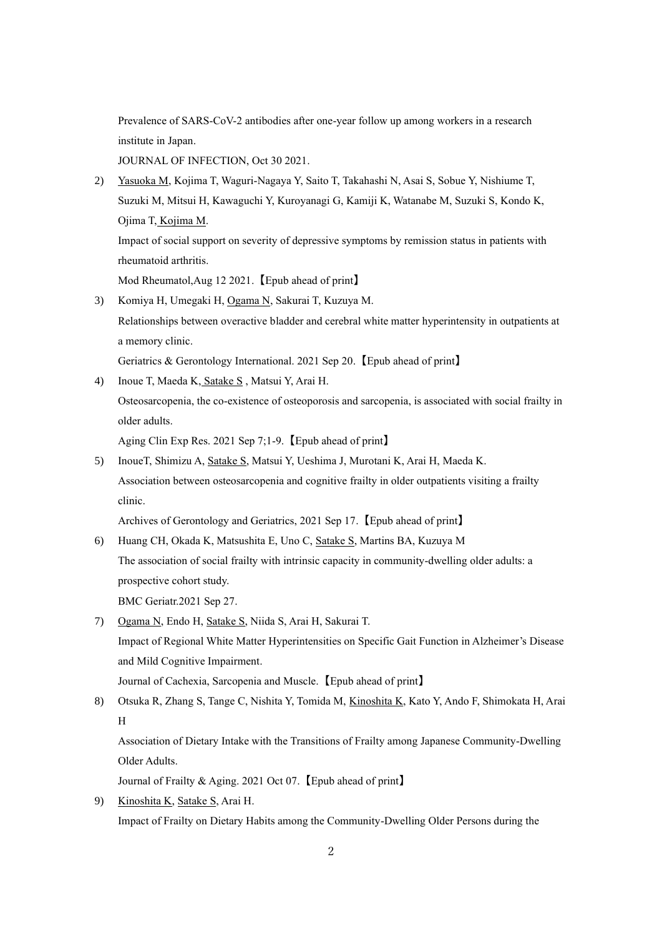Prevalence of SARS-CoV-2 antibodies after one-year follow up among workers in a research institute in Japan.

JOURNAL OF INFECTION, Oct 30 2021.

2) Yasuoka M, Kojima T, Waguri-Nagaya Y, Saito T, Takahashi N, Asai S, Sobue Y, Nishiume T, Suzuki M, Mitsui H, Kawaguchi Y, Kuroyanagi G, Kamiji K, Watanabe M, Suzuki S, Kondo K, Ojima T, Kojima M.

Impact of social support on severity of depressive symptoms by remission status in patients with rheumatoid arthritis.

Mod Rheumatol,Aug 12 2021.【Epub ahead of print】

3) Komiya H, Umegaki H, Ogama N, Sakurai T, Kuzuya M. Relationships between overactive bladder and cerebral white matter hyperintensity in outpatients at a memory clinic.

Geriatrics & Gerontology International. 2021 Sep 20.【Epub ahead of print】

4) Inoue T, Maeda K, Satake S , Matsui Y, Arai H.

Osteosarcopenia, the co-existence of osteoporosis and sarcopenia, is associated with social frailty in older adults.

Aging Clin Exp Res. 2021 Sep 7;1-9.【Epub ahead of print】

5) InoueT, Shimizu A, Satake S, Matsui Y, Ueshima J, Murotani K, Arai H, Maeda K. Association between osteosarcopenia and cognitive frailty in older outpatients visiting a frailty clinic.

Archives of Gerontology and Geriatrics, 2021 Sep 17.【Epub ahead of print】

- 6) Huang CH, Okada K, Matsushita E, Uno C, Satake S, Martins BA, Kuzuya M The association of social frailty with intrinsic capacity in community-dwelling older adults: a prospective cohort study. BMC Geriatr.2021 Sep 27.
- 7) Ogama N, Endo H, Satake S, Niida S, Arai H, Sakurai T. Impact of Regional White Matter Hyperintensities on Specific Gait Function in Alzheimer's Disease and Mild Cognitive Impairment. Journal of Cachexia, Sarcopenia and Muscle.【Epub ahead of print】
- 8) Otsuka R, Zhang S, Tange C, Nishita Y, Tomida M, Kinoshita K, Kato Y, Ando F, Shimokata H, Arai H Association of Dietary Intake with the Transitions of Frailty among Japanese Community-Dwelling Older Adults.

Journal of Frailty & Aging. 2021 Oct 07.【Epub ahead of print】

9) Kinoshita K, Satake S, Arai H. Impact of Frailty on Dietary Habits among the Community-Dwelling Older Persons during the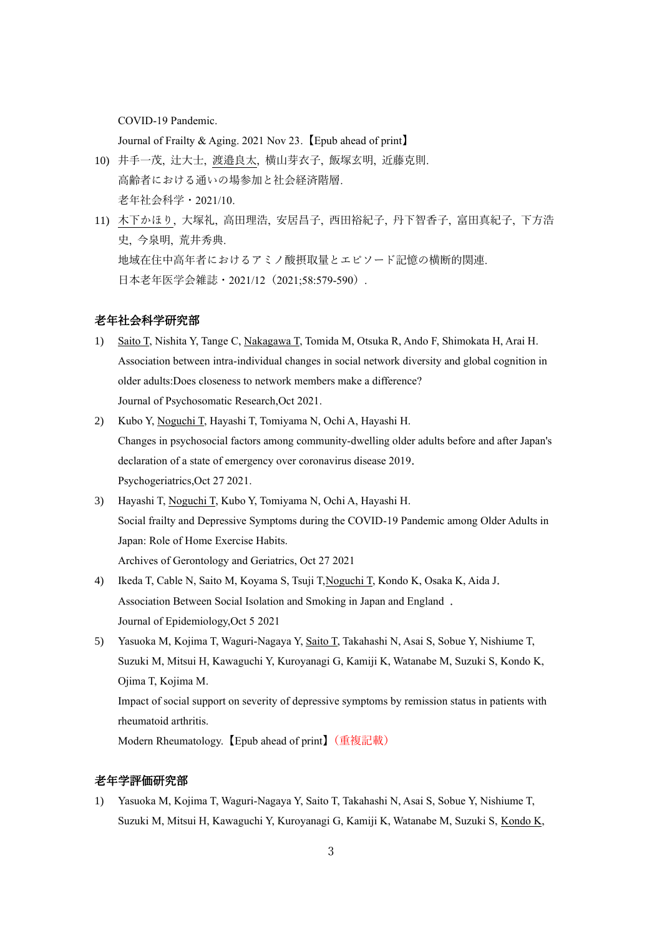COVID-19 Pandemic.

Journal of Frailty & Aging. 2021 Nov 23.【Epub ahead of print】

- 10) 井手一茂, 辻大士, 渡邉良太, 横山芽衣子, 飯塚玄明, 近藤克則. 高齢者における通いの場参加と社会経済階層. 老年社会科学・2021/10.
- 11) 木下かほり, 大塚礼, 高田理浩, 安居昌子, 西田裕紀子, 丹下智香子, 富田真紀子, 下方浩 史, 今泉明, 荒井秀典. 地域在住中高年者におけるアミノ酸摂取量とエピソード記憶の横断的関連. 日本老年医学会雑誌・2021/12 (2021;58:579-590).

## 老年社会科学研究部

- 1) Saito T, Nishita Y, Tange C, Nakagawa T, Tomida M, Otsuka R, Ando F, Shimokata H, Arai H. Association between intra-individual changes in social network diversity and global cognition in older adults:Does closeness to network members make a difference? Journal of Psychosomatic Research,Oct 2021.
- 2) Kubo Y, Noguchi T, Hayashi T, Tomiyama N, Ochi A, Hayashi H. Changes in psychosocial factors among community‐dwelling older adults before and after Japan's declaration of a state of emergency over coronavirus disease 2019. Psychogeriatrics,Oct 27 2021.
- 3) Hayashi T, Noguchi T, Kubo Y, Tomiyama N, Ochi A, Hayashi H. Social frailty and Depressive Symptoms during the COVID-19 Pandemic among Older Adults in Japan: Role of Home Exercise Habits. Archives of Gerontology and Geriatrics, Oct 27 2021
- 4) Ikeda T, Cable N, Saito M, Koyama S, Tsuji T,Noguchi T, Kondo K, Osaka K, Aida J. Association Between Social Isolation and Smoking in Japan and England . Journal of Epidemiology,Oct 5 2021
- 5) Yasuoka M, Kojima T, Waguri-Nagaya Y, Saito T, Takahashi N, Asai S, Sobue Y, Nishiume T, Suzuki M, Mitsui H, Kawaguchi Y, Kuroyanagi G, Kamiji K, Watanabe M, Suzuki S, Kondo K, Ojima T, Kojima M. Impact of social support on severity of depressive symptoms by remission status in patients with

rheumatoid arthritis.

Modern Rheumatology.【Epub ahead of print】(重複記載)

## 老年学評価研究部

1) Yasuoka M, Kojima T, Waguri-Nagaya Y, Saito T, Takahashi N, Asai S, Sobue Y, Nishiume T, Suzuki M, Mitsui H, Kawaguchi Y, Kuroyanagi G, Kamiji K, Watanabe M, Suzuki S, Kondo K,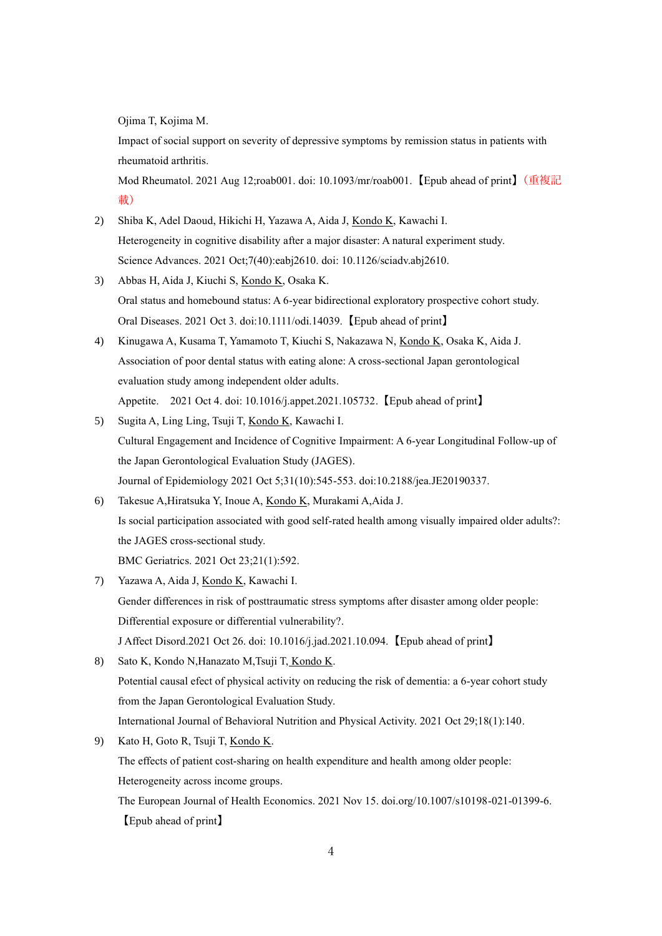Ojima T, Kojima M.

Impact of social support on severity of depressive symptoms by remission status in patients with rheumatoid arthritis.

Mod Rheumatol. 2021 Aug 12;roab001. doi: 10.1093/mr/roab001.【Epub ahead of print】(重複記 載)

- 2) Shiba K, Adel Daoud, Hikichi H, Yazawa A, Aida J, Kondo K, Kawachi I. Heterogeneity in cognitive disability after a major disaster: A natural experiment study. Science Advances. 2021 Oct;7(40):eabj2610. doi: 10.1126/sciadv.abj2610.
- 3) Abbas H, Aida J, Kiuchi S, Kondo K, Osaka K. Oral status and homebound status: A 6-year bidirectional exploratory prospective cohort study. Oral Diseases. 2021 Oct 3. doi:10.1111/odi.14039.【Epub ahead of print】
- 4) Kinugawa A, Kusama T, Yamamoto T, Kiuchi S, Nakazawa N, Kondo K, Osaka K, Aida J. Association of poor dental status with eating alone: A cross-sectional Japan gerontological evaluation study among independent older adults. Appetite. 2021 Oct 4. doi: 10.1016/j.appet.2021.105732.【Epub ahead of print】
- 5) Sugita A, Ling Ling, Tsuji T, Kondo K, Kawachi I. Cultural Engagement and Incidence of Cognitive Impairment: A 6-year Longitudinal Follow-up of the Japan Gerontological Evaluation Study (JAGES). Journal of Epidemiology 2021 Oct 5;31(10):545-553. doi:10.2188/jea.JE20190337.
- 6) Takesue A,Hiratsuka Y, Inoue A, Kondo K, Murakami A,Aida J. Is social participation associated with good self-rated health among visually impaired older adults?: the JAGES cross-sectional study. BMC Geriatrics. 2021 Oct 23;21(1):592.
- 7) Yazawa A, Aida J, Kondo K, Kawachi I. Gender differences in risk of posttraumatic stress symptoms after disaster among older people: Differential exposure or differential vulnerability?. J Affect Disord.2021 Oct 26. doi: 10.1016/j.jad.2021.10.094.【Epub ahead of print】
- 8) Sato K, Kondo N,Hanazato M,Tsuji T, Kondo K. Potential causal efect of physical activity on reducing the risk of dementia: a 6-year cohort study from the Japan Gerontological Evaluation Study. International Journal of Behavioral Nutrition and Physical Activity. 2021 Oct 29;18(1):140.
- 9) Kato H, Goto R, Tsuji T, Kondo K. The effects of patient cost-sharing on health expenditure and health among older people: Heterogeneity across income groups. The European Journal of Health Economics. 2021 Nov 15. doi.org/10.1007/s10198-021-01399-6.

【Epub ahead of print】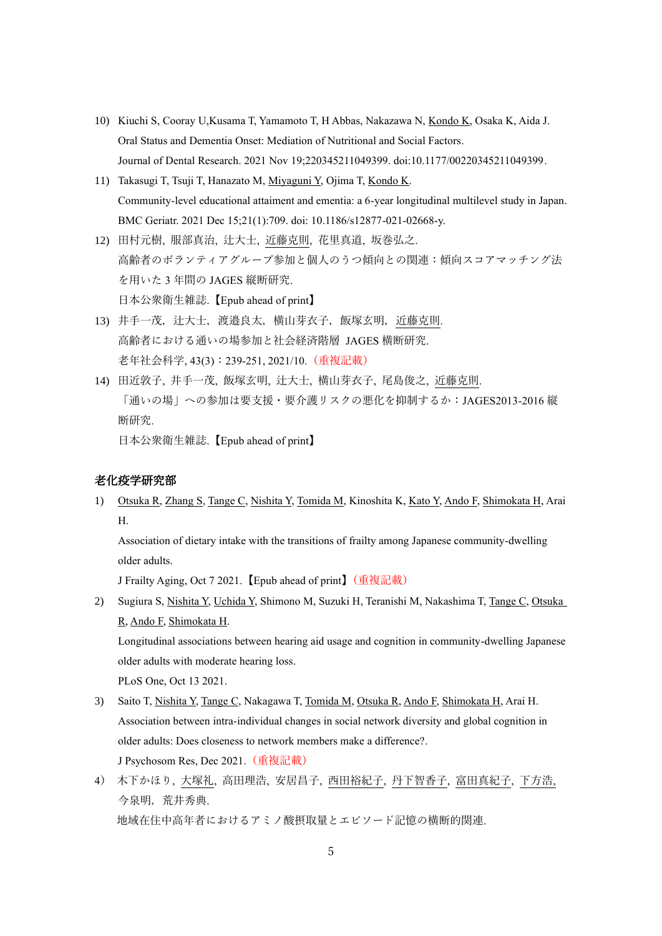- 10) Kiuchi S, Cooray U,Kusama T, Yamamoto T, H Abbas, Nakazawa N, Kondo K, Osaka K, Aida J. Oral Status and Dementia Onset: Mediation of Nutritional and Social Factors. Journal of Dental Research. 2021 Nov 19;220345211049399. doi:10.1177/00220345211049399.
- 11) Takasugi T, Tsuji T, Hanazato M, Miyaguni Y, Ojima T, Kondo K. Community-level educational attaiment and ementia: a 6-year longitudinal multilevel study in Japan. BMC Geriatr. 2021 Dec 15;21(1):709. doi: 10.1186/s12877-021-02668-y.
- 12) 田村元樹, 服部真治, 辻大士, 近藤克則, 花里真道, 坂巻弘之. 高齢者のボランティアグループ参加と個人のうつ傾向との関連:傾向スコアマッチング法 を用いた 3 年間の JAGES 縦断研究. 日本公衆衛生雑誌.【Epub ahead of print】
- 13) 井手一茂, 辻大士, 渡邉良太, 横山芽衣子, 飯塚玄明, 近藤克則. 高齢者における通いの場参加と社会経済階層 JAGES 横断研究. 老年社会科学, 43(3):239-251, 2021/10.(重複記載)
- 14) 田近敦子, 井手一茂, 飯塚玄明, 辻大士, 横山芽衣子, 尾島俊之, 近藤克則. 「通いの場」への参加は要支援・要介護リスクの悪化を抑制するか:JAGES2013-2016 縦 断研究. 日本公衆衛生雑誌.【Epub ahead of print】

#### 老化疫学研究部

1) Otsuka R, Zhang S, Tange C, Nishita Y, Tomida M, Kinoshita K, Kato Y, Ando F, Shimokata H, Arai H.

Association of dietary intake with the transitions of frailty among Japanese community-dwelling older adults.

J Frailty Aging, Oct 7 2021.【Epub ahead of print】(重複記載)

- 2) Sugiura S, Nishita Y, Uchida Y, Shimono M, Suzuki H, Teranishi M, Nakashima T, Tange C, Otsuka R, Ando F, Shimokata H. Longitudinal associations between hearing aid usage and cognition in community-dwelling Japanese older adults with moderate hearing loss. PLoS One, Oct 13 2021.
- 3) Saito T, Nishita Y, Tange C, Nakagawa T, Tomida M, Otsuka R, Ando F, Shimokata H, Arai H. Association between intra-individual changes in social network diversity and global cognition in older adults: Does closeness to network members make a difference?. J Psychosom Res, Dec 2021.(重複記載)
- 4) 木下かほり, 大塚礼, 高田理浩, 安居昌子, 西田裕紀子, 丹下智香子, 富田真紀子, 下方浩, 今泉明,荒井秀典. 地域在住中高年者におけるアミノ酸摂取量とエピソード記憶の横断的関連.